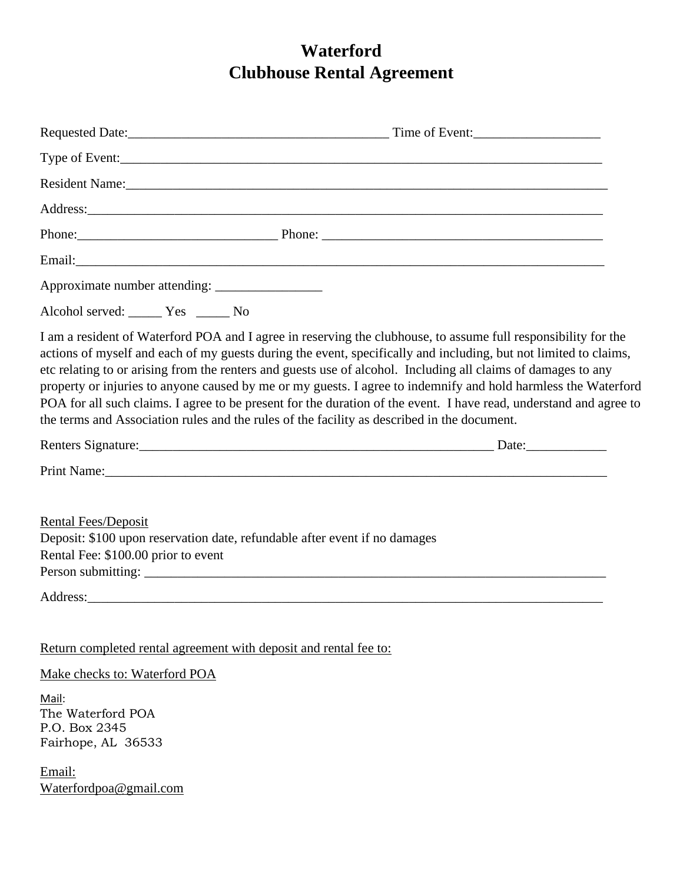# **Waterford Clubhouse Rental Agreement**

| Requested Date: Time of Event:                                                                                                                                                                                                                                                                                                                                                                                                                                                                                                                                                                                                                                                             |  |
|--------------------------------------------------------------------------------------------------------------------------------------------------------------------------------------------------------------------------------------------------------------------------------------------------------------------------------------------------------------------------------------------------------------------------------------------------------------------------------------------------------------------------------------------------------------------------------------------------------------------------------------------------------------------------------------------|--|
|                                                                                                                                                                                                                                                                                                                                                                                                                                                                                                                                                                                                                                                                                            |  |
|                                                                                                                                                                                                                                                                                                                                                                                                                                                                                                                                                                                                                                                                                            |  |
| Address: <u>Address</u> and the contract of the contract of the contract of the contract of the contract of the contract of the contract of the contract of the contract of the contract of the contract of the contract of the con                                                                                                                                                                                                                                                                                                                                                                                                                                                        |  |
|                                                                                                                                                                                                                                                                                                                                                                                                                                                                                                                                                                                                                                                                                            |  |
|                                                                                                                                                                                                                                                                                                                                                                                                                                                                                                                                                                                                                                                                                            |  |
|                                                                                                                                                                                                                                                                                                                                                                                                                                                                                                                                                                                                                                                                                            |  |
| Alcohol served: Ves _______ No                                                                                                                                                                                                                                                                                                                                                                                                                                                                                                                                                                                                                                                             |  |
| I am a resident of Waterford POA and I agree in reserving the clubhouse, to assume full responsibility for the<br>actions of myself and each of my guests during the event, specifically and including, but not limited to claims,<br>etc relating to or arising from the renters and guests use of alcohol. Including all claims of damages to any<br>property or injuries to anyone caused by me or my guests. I agree to indemnify and hold harmless the Waterford<br>POA for all such claims. I agree to be present for the duration of the event. I have read, understand and agree to<br>the terms and Association rules and the rules of the facility as described in the document. |  |
|                                                                                                                                                                                                                                                                                                                                                                                                                                                                                                                                                                                                                                                                                            |  |
|                                                                                                                                                                                                                                                                                                                                                                                                                                                                                                                                                                                                                                                                                            |  |
| <b>Rental Fees/Deposit</b><br>Deposit: \$100 upon reservation date, refundable after event if no damages<br>Rental Fee: \$100.00 prior to event                                                                                                                                                                                                                                                                                                                                                                                                                                                                                                                                            |  |
|                                                                                                                                                                                                                                                                                                                                                                                                                                                                                                                                                                                                                                                                                            |  |
| Return completed rental agreement with deposit and rental fee to:                                                                                                                                                                                                                                                                                                                                                                                                                                                                                                                                                                                                                          |  |
| Make checks to: Waterford POA                                                                                                                                                                                                                                                                                                                                                                                                                                                                                                                                                                                                                                                              |  |
| Mail:<br>The Waterford POA<br>P.O. Box 2345<br>Fairhope, AL 36533                                                                                                                                                                                                                                                                                                                                                                                                                                                                                                                                                                                                                          |  |
| Email:<br>Waterfordpoa@gmail.com                                                                                                                                                                                                                                                                                                                                                                                                                                                                                                                                                                                                                                                           |  |